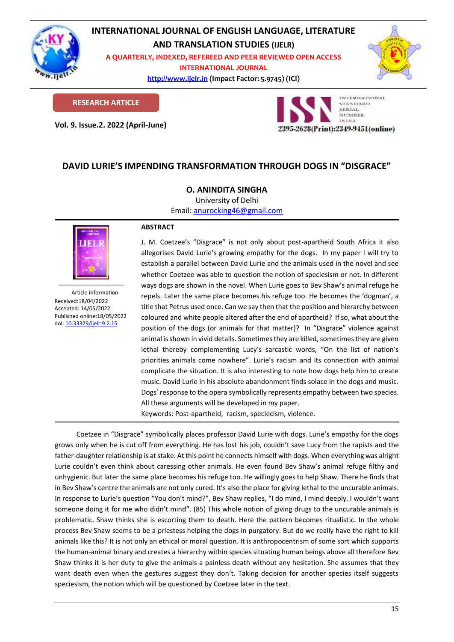

# **INTERNATIONAL JOURNAL OF ENGLISH LANGUAGE, LITERATURE AND TRANSLATION STUDIES (IJELR)**

**A QUARTERLY, INDEXED, REFEREED AND PEER REVIEWED OPEN ACCESS INTERNATIONAL JOURNAL**

> **[http://www.ijelr.in](http://www.ijelr.in/) (Impact Factor: 5.9745) (ICI) KY PUBLICATIONS**



**RESEARCH ARTICLE**

**Vol. 9. Issue.2. 2022 (April-June) ARTICLE**



# **DAVID LURIE'S IMPENDING TRANSFORMATION THROUGH DOGS IN "DISGRACE"**

## **O. ANINDITA SINGHA**

University of Delhi

Email: [anurocking46@gmail.com](mailto:anurocking46@gmail.com)



Article information Received:18/04/2022 Accepted: 14/05/2022 Published online:18/05/2022 [doi: 10.33329/ijelr.9.2.1](http://www.ijelr.in/)5

### **ABSTRACT**

J. M. Coetzee's "Disgrace" is not only about post-apartheid South Africa it also allegorises David Lurie's growing empathy for the dogs. In my paper I will try to establish a parallel between David Lurie and the animals used in the novel and see whether Coetzee was able to question the notion of speciesism or not. In different ways dogs are shown in the novel. When Lurie goes to Bev Shaw's animal refuge he repels. Later the same place becomes his refuge too. He becomes the 'dogman', a title that Petrus used once. Can we say then that the position and hierarchy between coloured and white people altered after the end of apartheid? If so, what about the position of the dogs (or animals for that matter)? In "Disgrace" violence against animal is shown in vivid details. Sometimes they are killed, sometimes they are given lethal thereby complementing Lucy's sarcastic words, "On the list of nation's priorities animals come nowhere". Lurie's racism and its connection with animal complicate the situation. It is also interesting to note how dogs help him to create music. David Lurie in his absolute abandonment finds solace in the dogs and music. Dogs' response to the opera symbolically represents empathy between two species. All these arguments will be developed in my paper.

Keywords: Post-apartheid, racism, speciecism, violence.

Coetzee in "Disgrace" symbolically places professor David Lurie with dogs. Lurie's empathy for the dogs grows only when he is cut off from everything. He has lost his job, couldn't save Lucy from the rapists and the father-daughter relationship is at stake. At this point he connects himself with dogs. When everything was alright Lurie couldn't even think about caressing other animals. He even found Bev Shaw's animal refuge filthy and unhygienic. But later the same place becomes his refuge too. He willingly goes to help Shaw. There he finds that in Bev Shaw's centre the animals are not only cured. It's also the place for giving lethal to the uncurable animals. In response to Lurie's question "You don't mind?", Bev Shaw replies, "I do mind, I mind deeply. I wouldn't want someone doing it for me who didn't mind". (85) This whole notion of giving drugs to the uncurable animals is problematic. Shaw thinks she is escorting them to death. Here the pattern becomes ritualistic. In the whole process Bev Shaw seems to be a priestess helping the dogs in purgatory. But do we really have the right to kill animals like this? It is not only an ethical or moral question. It is anthropocentrism of some sort which supports the human-animal binary and creates a hierarchy within species situating human beings above all therefore Bev Shaw thinks it is her duty to give the animals a painless death without any hesitation. She assumes that they want death even when the gestures suggest they don't. Taking decision for another species itself suggests speciesism, the notion which will be questioned by Coetzee later in the text.